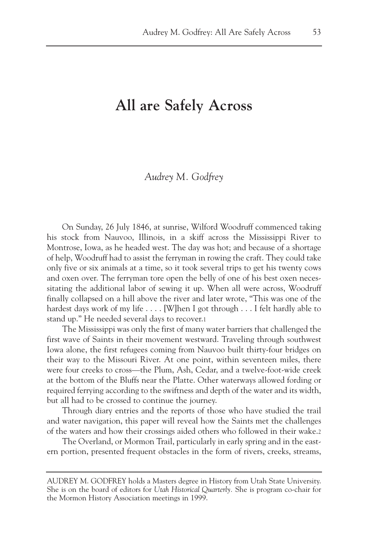## **All are Safely Across**

## *Audrey M. Godfrey*

On Sunday, 26 July 1846, at sunrise, Wilford Woodruff commenced taking his stock from Nauvoo, Illinois, in a skiff across the Mississippi River to Montrose, Iowa, as he headed west. The day was hot; and because of a shortage of help, Woodruff had to assist the ferryman in rowing the craft. They could take only five or six animals at a time, so it took several trips to get his twenty cows and oxen over. The ferryman tore open the belly of one of his best oxen necessitating the additional labor of sewing it up. When all were across, Woodruff finally collapsed on a hill above the river and later wrote, "This was one of the hardest days work of my life . . . . [W]hen I got through . . . I felt hardly able to stand up." He needed several days to recover.1

The Mississippi was only the first of many water barriers that challenged the first wave of Saints in their movement westward. Traveling through southwest Iowa alone, the first refugees coming from Nauvoo built thirty-four bridges on their way to the Missouri River. At one point, within seventeen miles, there were four creeks to cross—the Plum, Ash, Cedar, and a twelve-foot-wide creek at the bottom of the Bluffs near the Platte. Other waterways allowed fording or required ferrying according to the swiftness and depth of the water and its width, but all had to be crossed to continue the journey.

Through diary entries and the reports of those who have studied the trail and water navigation, this paper will reveal how the Saints met the challenges of the waters and how their crossings aided others who followed in their wake.2

The Overland, or Mormon Trail, particularly in early spring and in the eastern portion, presented frequent obstacles in the form of rivers, creeks, streams,

AUDREY M. GODFREY holds a Masters degree in History from Utah State University. She is on the board of editors for *Utah Historical Quarterly.* She is program co-chair for the Mormon History Association meetings in 1999.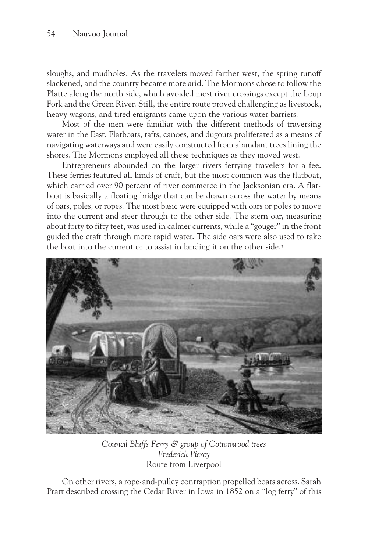sloughs, and mudholes. As the travelers moved farther west, the spring runoff slackened, and the country became more arid. The Mormons chose to follow the Platte along the north side, which avoided most river crossings except the Loup Fork and the Green River. Still, the entire route proved challenging as livestock, heavy wagons, and tired emigrants came upon the various water barriers.

Most of the men were familiar with the different methods of traversing water in the East. Flatboats, rafts, canoes, and dugouts proliferated as a means of navigating waterways and were easily constructed from abundant trees lining the shores. The Mormons employed all these techniques as they moved west.

Entrepreneurs abounded on the larger rivers ferrying travelers for a fee. These ferries featured all kinds of craft, but the most common was the flatboat, which carried over 90 percent of river commerce in the Jacksonian era. A flatboat is basically a floating bridge that can be drawn across the water by means of oars, poles, or ropes. The most basic were equipped with oars or poles to move into the current and steer through to the other side. The stern oar, measuring about forty to fifty feet, was used in calmer currents, while a "gouger" in the front guided the craft through more rapid water. The side oars were also used to take the boat into the current or to assist in landing it on the other side.3



*Council Bluffs Ferry & group of Cottonwood trees Frederick Piercy* Route from Liverpool

On other rivers, a rope-and-pulley contraption propelled boats across. Sarah Pratt described crossing the Cedar River in Iowa in 1852 on a "log ferry" of this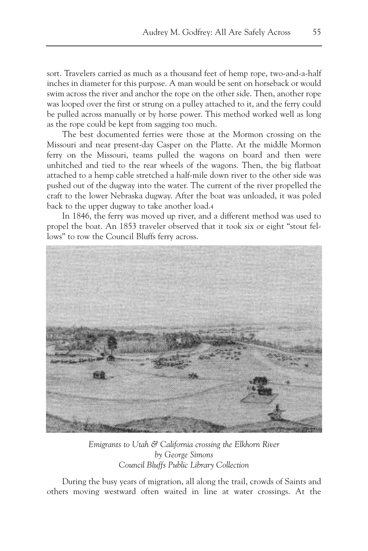sort. Travelers carried as much as a thousand feet of hemp rope, two-and-a-half inches in diameter for this purpose. A man would be sent on horseback or would swim across the river and anchor the rope on the other side. Then, another rope was looped over the first or strung on a pulley attached to it, and the ferry could be pulled across manually or by horse power. This method worked well as long as the rope could be kept from sagging too much.

The best documented ferries were those at the Mormon crossing on the Missouri and near present-day Casper on the Platte. At the middle Mormon ferry on the Missouri, teams pulled the wagons on board and then were unhitched and tied to the rear wheels of the wagons. Then, the big flatboat attached to a hemp cable stretched a half-mile down river to the other side was pushed out of the dugway into the water. The current of the river propelled the craft to the lower Nebraska dugway. After the boat was unloaded, it was poled back to the upper dugway to take another load.4

In 1846, the ferry was moved up river, and a different method was used to propel the boat. An 1853 traveler observed that it took six or eight "stout fellows" to row the Council Bluffs ferry across.



*Emigrants to Utah & California crossing the Elkhorn River by George Simons Council Bluffs Public Library Collection*

During the busy years of migration, all along the trail, crowds of Saints and others moving westward often waited in line at water crossings. At the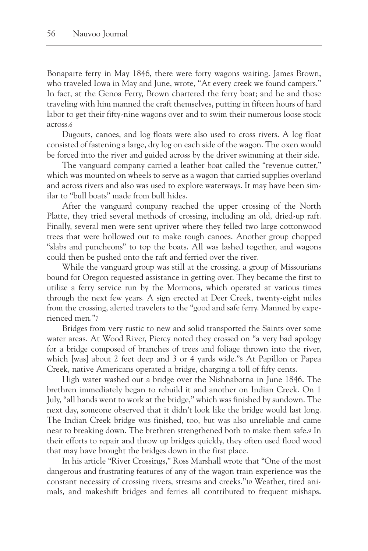Bonaparte ferry in May 1846, there were forty wagons waiting. James Brown, who traveled Iowa in May and June, wrote, "At every creek we found campers." In fact, at the Genoa Ferry, Brown chartered the ferry boat; and he and those traveling with him manned the craft themselves, putting in fifteen hours of hard labor to get their fifty-nine wagons over and to swim their numerous loose stock across.6

Dugouts, canoes, and log floats were also used to cross rivers. A log float consisted of fastening a large, dry log on each side of the wagon. The oxen would be forced into the river and guided across by the driver swimming at their side.

The vanguard company carried a leather boat called the "revenue cutter," which was mounted on wheels to serve as a wagon that carried supplies overland and across rivers and also was used to explore waterways. It may have been similar to "bull boats" made from bull hides.

After the vanguard company reached the upper crossing of the North Platte, they tried several methods of crossing, including an old, dried-up raft. Finally, several men were sent upriver where they felled two large cottonwood trees that were hollowed out to make rough canoes. Another group chopped "slabs and puncheons" to top the boats. All was lashed together, and wagons could then be pushed onto the raft and ferried over the river.

While the vanguard group was still at the crossing, a group of Missourians bound for Oregon requested assistance in getting over. They became the first to utilize a ferry service run by the Mormons, which operated at various times through the next few years. A sign erected at Deer Creek, twenty-eight miles from the crossing, alerted travelers to the "good and safe ferry. Manned by experienced men."7

Bridges from very rustic to new and solid transported the Saints over some water areas. At Wood River, Piercy noted they crossed on "a very bad apology for a bridge composed of branches of trees and foliage thrown into the river, which [was] about 2 feet deep and 3 or 4 yards wide."8 At Papillon or Papea Creek, native Americans operated a bridge, charging a toll of fifty cents.

High water washed out a bridge over the Nishnabotna in June 1846. The brethren immediately began to rebuild it and another on Indian Creek. On 1 July, "all hands went to work at the bridge," which was finished by sundown. The next day, someone observed that it didn't look like the bridge would last long. The Indian Creek bridge was finished, too, but was also unreliable and came near to breaking down. The brethren strengthened both to make them safe.9 In their efforts to repair and throw up bridges quickly, they often used flood wood that may have brought the bridges down in the first place.

In his article "River Crossings," Ross Marshall wrote that "One of the most dangerous and frustrating features of any of the wagon train experience was the constant necessity of crossing rivers, streams and creeks."10 Weather, tired animals, and makeshift bridges and ferries all contributed to frequent mishaps.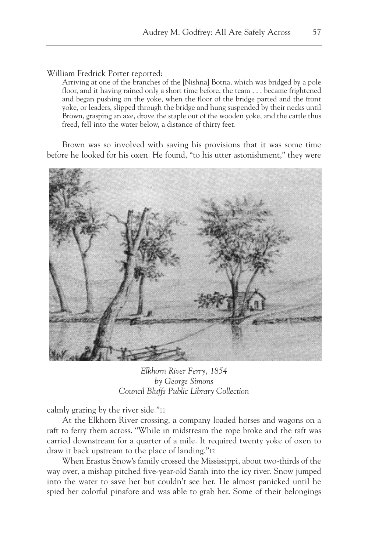William Fredrick Porter reported:

Arriving at one of the branches of the [Nishna] Botna, which was bridged by a pole floor, and it having rained only a short time before, the team . . . became frightened and began pushing on the yoke, when the floor of the bridge parted and the front yoke, or leaders, slipped through the bridge and hung suspended by their necks until Brown, grasping an axe, drove the staple out of the wooden yoke, and the cattle thus freed, fell into the water below, a distance of thirty feet.

Brown was so involved with saving his provisions that it was some time before he looked for his oxen. He found, "to his utter astonishment," they were



*Elkhorn River Ferry, 1854 by George Simons Council Bluffs Public Library Collection*

calmly grazing by the river side."11

At the Elkhorn River crossing, a company loaded horses and wagons on a raft to ferry them across. "While in midstream the rope broke and the raft was carried downstream for a quarter of a mile. It required twenty yoke of oxen to draw it back upstream to the place of landing."12

When Erastus Snow's family crossed the Mississippi, about two-thirds of the way over, a mishap pitched five-year-old Sarah into the icy river. Snow jumped into the water to save her but couldn't see her. He almost panicked until he spied her colorful pinafore and was able to grab her. Some of their belongings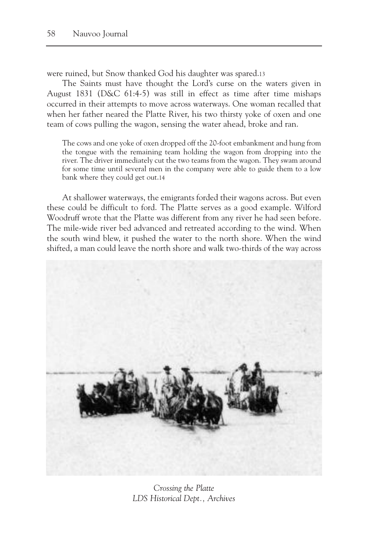were ruined, but Snow thanked God his daughter was spared.13

The Saints must have thought the Lord's curse on the waters given in August 1831 (D&C 61:4-5) was still in effect as time after time mishaps occurred in their attempts to move across waterways. One woman recalled that when her father neared the Platte River, his two thirsty yoke of oxen and one team of cows pulling the wagon, sensing the water ahead, broke and ran.

The cows and one yoke of oxen dropped off the 20-foot embankment and hung from the tongue with the remaining team holding the wagon from dropping into the river. The driver immediately cut the two teams from the wagon. They swam around for some time until several men in the company were able to guide them to a low bank where they could get out.14

At shallower waterways, the emigrants forded their wagons across. But even these could be difficult to ford. The Platte serves as a good example. Wilford Woodruff wrote that the Platte was different from any river he had seen before. The mile-wide river bed advanced and retreated according to the wind. When the south wind blew, it pushed the water to the north shore. When the wind shifted, a man could leave the north shore and walk two-thirds of the way across



*Crossing the Platte LDS Historical Dept., Archives*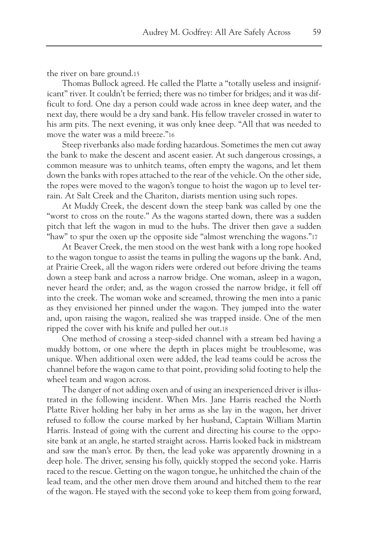the river on bare ground.15

Thomas Bullock agreed. He called the Platte a "totally useless and insignificant" river. It couldn't be ferried; there was no timber for bridges; and it was difficult to ford. One day a person could wade across in knee deep water, and the next day, there would be a dry sand bank. His fellow traveler crossed in water to his arm pits. The next evening, it was only knee deep. "All that was needed to move the water was a mild breeze."16

Steep riverbanks also made fording hazardous. Sometimes the men cut away the bank to make the descent and ascent easier. At such dangerous crossings, a common measure was to unhitch teams, often empty the wagons, and let them down the banks with ropes attached to the rear of the vehicle. On the other side, the ropes were moved to the wagon's tongue to hoist the wagon up to level terrain. At Salt Creek and the Chariton, diarists mention using such ropes.

At Muddy Creek, the descent down the steep bank was called by one the "worst to cross on the route." As the wagons started down, there was a sudden pitch that left the wagon in mud to the hubs. The driver then gave a sudden "haw" to spur the oxen up the opposite side "almost wrenching the wagons."17

At Beaver Creek, the men stood on the west bank with a long rope hooked to the wagon tongue to assist the teams in pulling the wagons up the bank. And, at Prairie Creek, all the wagon riders were ordered out before driving the teams down a steep bank and across a narrow bridge. One woman, asleep in a wagon, never heard the order; and, as the wagon crossed the narrow bridge, it fell off into the creek. The woman woke and screamed, throwing the men into a panic as they envisioned her pinned under the wagon. They jumped into the water and, upon raising the wagon, realized she was trapped inside. One of the men ripped the cover with his knife and pulled her out.18

One method of crossing a steep-sided channel with a stream bed having a muddy bottom, or one where the depth in places might be troublesome, was unique. When additional oxen were added, the lead teams could be across the channel before the wagon came to that point, providing solid footing to help the wheel team and wagon across.

The danger of not adding oxen and of using an inexperienced driver is illustrated in the following incident. When Mrs. Jane Harris reached the North Platte River holding her baby in her arms as she lay in the wagon, her driver refused to follow the course marked by her husband, Captain William Martin Harris. Instead of going with the current and directing his course to the opposite bank at an angle, he started straight across. Harris looked back in midstream and saw the man's error. By then, the lead yoke was apparently drowning in a deep hole. The driver, sensing his folly, quickly stopped the second yoke. Harris raced to the rescue. Getting on the wagon tongue, he unhitched the chain of the lead team, and the other men drove them around and hitched them to the rear of the wagon. He stayed with the second yoke to keep them from going forward,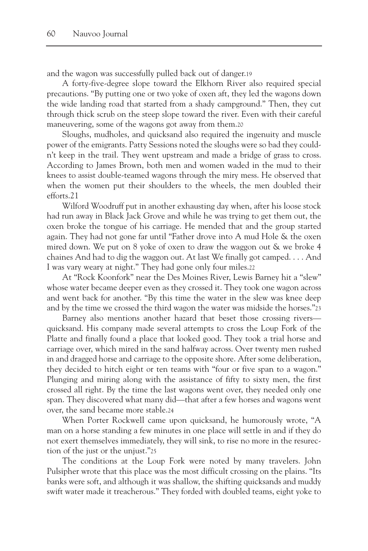and the wagon was successfully pulled back out of danger.19

A forty-five-degree slope toward the Elkhorn River also required special precautions. "By putting one or two yoke of oxen aft, they led the wagons down the wide landing road that started from a shady campground." Then, they cut through thick scrub on the steep slope toward the river. Even with their careful maneuvering, some of the wagons got away from them.20

Sloughs, mudholes, and quicksand also required the ingenuity and muscle power of the emigrants. Patty Sessions noted the sloughs were so bad they couldn't keep in the trail. They went upstream and made a bridge of grass to cross. According to James Brown, both men and women waded in the mud to their knees to assist double-teamed wagons through the miry mess. He observed that when the women put their shoulders to the wheels, the men doubled their efforts.21

Wilford Woodruff put in another exhausting day when, after his loose stock had run away in Black Jack Grove and while he was trying to get them out, the oxen broke the tongue of his carriage. He mended that and the group started again. They had not gone far until "Father drove into A mud Hole & the oxen mired down. We put on 8 yoke of oxen to draw the waggon out & we broke 4 chaines And had to dig the waggon out. At last We finally got camped. . . . And I was vary weary at night." They had gone only four miles.22

At "Rock Koonfork" near the Des Moines River, Lewis Barney hit a "slew" whose water became deeper even as they crossed it. They took one wagon across and went back for another. "By this time the water in the slew was knee deep and by the time we crossed the third wagon the water was midside the horses."23

Barney also mentions another hazard that beset those crossing rivers quicksand. His company made several attempts to cross the Loup Fork of the Platte and finally found a place that looked good. They took a trial horse and carriage over, which mired in the sand halfway across. Over twenty men rushed in and dragged horse and carriage to the opposite shore. After some deliberation, they decided to hitch eight or ten teams with "four or five span to a wagon." Plunging and miring along with the assistance of fifty to sixty men, the first crossed all right. By the time the last wagons went over, they needed only one span. They discovered what many did—that after a few horses and wagons went over, the sand became more stable.24

When Porter Rockwell came upon quicksand, he humorously wrote, "A man on a horse standing a few minutes in one place will settle in and if they do not exert themselves immediately, they will sink, to rise no more in the resurection of the just or the unjust."25

The conditions at the Loup Fork were noted by many travelers. John Pulsipher wrote that this place was the most difficult crossing on the plains. "Its banks were soft, and although it was shallow, the shifting quicksands and muddy swift water made it treacherous." They forded with doubled teams, eight yoke to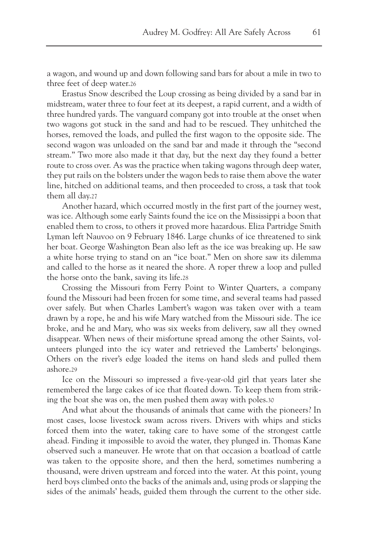a wagon, and wound up and down following sand bars for about a mile in two to three feet of deep water.26

Erastus Snow described the Loup crossing as being divided by a sand bar in midstream, water three to four feet at its deepest, a rapid current, and a width of three hundred yards. The vanguard company got into trouble at the onset when two wagons got stuck in the sand and had to be rescued. They unhitched the horses, removed the loads, and pulled the first wagon to the opposite side. The second wagon was unloaded on the sand bar and made it through the "second stream." Two more also made it that day, but the next day they found a better route to cross over. As was the practice when taking wagons through deep water, they put rails on the bolsters under the wagon beds to raise them above the water line, hitched on additional teams, and then proceeded to cross, a task that took them all day.27

Another hazard, which occurred mostly in the first part of the journey west, was ice. Although some early Saints found the ice on the Mississippi a boon that enabled them to cross, to others it proved more hazardous. Eliza Partridge Smith Lyman left Nauvoo on 9 February 1846. Large chunks of ice threatened to sink her boat. George Washington Bean also left as the ice was breaking up. He saw a white horse trying to stand on an "ice boat." Men on shore saw its dilemma and called to the horse as it neared the shore. A roper threw a loop and pulled the horse onto the bank, saving its life.28

Crossing the Missouri from Ferry Point to Winter Quarters, a company found the Missouri had been frozen for some time, and several teams had passed over safely. But when Charles Lambert's wagon was taken over with a team drawn by a rope, he and his wife Mary watched from the Missouri side. The ice broke, and he and Mary, who was six weeks from delivery, saw all they owned disappear. When news of their misfortune spread among the other Saints, volunteers plunged into the icy water and retrieved the Lamberts' belongings. Others on the river's edge loaded the items on hand sleds and pulled them ashore.29

Ice on the Missouri so impressed a five-year-old girl that years later she remembered the large cakes of ice that floated down. To keep them from striking the boat she was on, the men pushed them away with poles.30

And what about the thousands of animals that came with the pioneers? In most cases, loose livestock swam across rivers. Drivers with whips and sticks forced them into the water, taking care to have some of the strongest cattle ahead. Finding it impossible to avoid the water, they plunged in. Thomas Kane observed such a maneuver. He wrote that on that occasion a boatload of cattle was taken to the opposite shore, and then the herd, sometimes numbering a thousand, were driven upstream and forced into the water. At this point, young herd boys climbed onto the backs of the animals and, using prods or slapping the sides of the animals' heads, guided them through the current to the other side.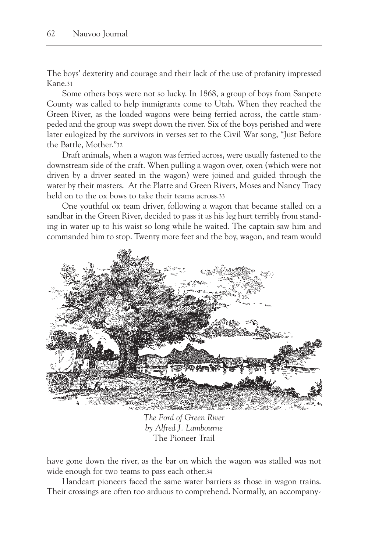The boys' dexterity and courage and their lack of the use of profanity impressed Kane.31

Some others boys were not so lucky. In 1868, a group of boys from Sanpete County was called to help immigrants come to Utah. When they reached the Green River, as the loaded wagons were being ferried across, the cattle stampeded and the group was swept down the river. Six of the boys perished and were later eulogized by the survivors in verses set to the Civil War song, "Just Before the Battle, Mother."32

Draft animals, when a wagon was ferried across, were usually fastened to the downstream side of the craft. When pulling a wagon over, oxen (which were not driven by a driver seated in the wagon) were joined and guided through the water by their masters. At the Platte and Green Rivers, Moses and Nancy Tracy held on to the ox bows to take their teams across.33

One youthful ox team driver, following a wagon that became stalled on a sandbar in the Green River, decided to pass it as his leg hurt terribly from standing in water up to his waist so long while he waited. The captain saw him and commanded him to stop. Twenty more feet and the boy, wagon, and team would



*The Ford of Green River by Alfred J. Lambourne* The Pioneer Trail

have gone down the river, as the bar on which the wagon was stalled was not wide enough for two teams to pass each other.34

Handcart pioneers faced the same water barriers as those in wagon trains. Their crossings are often too arduous to comprehend. Normally, an accompany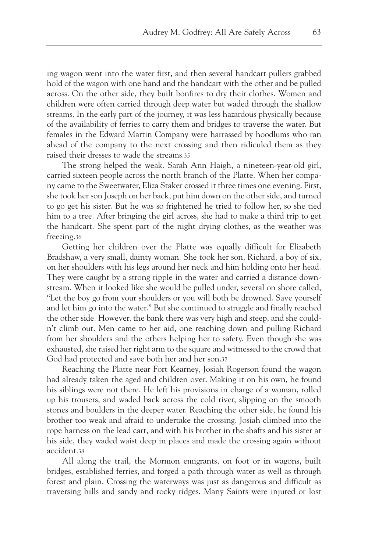ing wagon went into the water first, and then several handcart pullers grabbed hold of the wagon with one hand and the handcart with the other and be pulled across. On the other side, they built bonfires to dry their clothes. Women and children were often carried through deep water but waded through the shallow streams. In the early part of the journey, it was less hazardous physically because of the availability of ferries to carry them and bridges to traverse the water. But females in the Edward Martin Company were harrassed by hoodlums who ran ahead of the company to the next crossing and then ridiculed them as they raised their dresses to wade the streams.35

The strong helped the weak. Sarah Ann Haigh, a nineteen-year-old girl, carried sixteen people across the north branch of the Platte. When her company came to the Sweetwater, Eliza Staker crossed it three times one evening. First, she took her son Joseph on her back, put him down on the other side, and turned to go get his sister. But he was so frightened he tried to follow her, so she tied him to a tree. After bringing the girl across, she had to make a third trip to get the handcart. She spent part of the night drying clothes, as the weather was freezing.36

Getting her children over the Platte was equally difficult for Elizabeth Bradshaw, a very small, dainty woman. She took her son, Richard, a boy of six, on her shoulders with his legs around her neck and him holding onto her head. They were caught by a strong ripple in the water and carried a distance downstream. When it looked like she would be pulled under, several on shore called, "Let the boy go from your shoulders or you will both be drowned. Save yourself and let him go into the water." But she continued to struggle and finally reached the other side. However, the bank there was very high and steep, and she couldn't climb out. Men came to her aid, one reaching down and pulling Richard from her shoulders and the others helping her to safety. Even though she was exhausted, she raised her right arm to the square and witnessed to the crowd that God had protected and save both her and her son.37

Reaching the Platte near Fort Kearney, Josiah Rogerson found the wagon had already taken the aged and children over. Making it on his own, he found his siblings were not there. He left his provisions in charge of a woman, rolled up his trousers, and waded back across the cold river, slipping on the smooth stones and boulders in the deeper water. Reaching the other side, he found his brother too weak and afraid to undertake the crossing. Josiah climbed into the rope harness on the lead cart, and with his brother in the shafts and his sister at his side, they waded waist deep in places and made the crossing again without accident.38

All along the trail, the Mormon emigrants, on foot or in wagons, built bridges, established ferries, and forged a path through water as well as through forest and plain. Crossing the waterways was just as dangerous and difficult as traversing hills and sandy and rocky ridges. Many Saints were injured or lost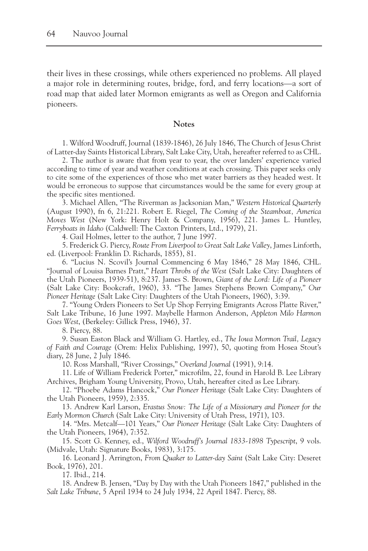their lives in these crossings, while others experienced no problems. All played a major role in determining routes, bridge, ford, and ferry locations—a sort of road map that aided later Mormon emigrants as well as Oregon and California pioneers.

## **Notes**

1. Wilford Woodruff, Journal (1839-1846), 26 July 1846, The Church of Jesus Christ of Latter-day Saints Historical Library, Salt Lake City, Utah, hereafter referred to as CHL.

2. The author is aware that from year to year, the over landers' experience varied according to time of year and weather conditions at each crossing. This paper seeks only to cite some of the experiences of those who met water barriers as they headed west. It would be erroneous to suppose that circumstances would be the same for every group at the specific sites mentioned.

3. Michael Allen, "The Riverman as Jacksonian Man," *Western Historical Quarterly* (August 1990), fn 6, 21:221. Robert E. Riegel, *The Coming of the Steamboat, America Moves West* (New York: Henry Holt & Company, 1956), 221. James L. Huntley, *Ferryboats in Idaho* (Caldwell: The Caxton Printers, Ltd., 1979), 21.

4. Gail Holmes, letter to the author, 7 June 1997.

5. Frederick G. Piercy, *Route From Liverpool to Great Salt Lake Valley*, James Linforth, ed. (Liverpool: Franklin D. Richards, 1855), 81.

6. "Lucius N. Scovil's Journal Commencing 6 May 1846," 28 May 1846, CHL. "Journal of Louisa Barnes Pratt," *Heart Throbs of the West* (Salt Lake City: Daughters of the Utah Pioneers, 1939-51), 8:237. James S. Brown, *Giant of the Lord: Life of a Pioneer* (Salt Lake City: Bookcraft, 1960), 33. "The James Stephens Brown Company," *Our Pioneer Heritage* (Salt Lake City: Daughters of the Utah Pioneers, 1960), 3:39.

7. "Young Orders Pioneers to Set Up Shop Ferrying Emigrants Across Platte River," Salt Lake Tribune, 16 June 1997. Maybelle Harmon Anderson, *Appleton Milo Harmon Goes West*, (Berkeley: Gillick Press, 1946), 37.

8. Piercy, 88.

9. Susan Easton Black and William G. Hartley, ed., *The Iowa Mormon Trail, Legacy of Faith and Courage* (Orem: Helix Publishing, 1997), 50, quoting from Hosea Stout's diary, 28 June, 2 July 1846.

10. Ross Marshall, "River Crossings," *Overland Journal* (1991), 9:14.

11. Life of William Frederick Porter," microfilm, 22, found in Harold B. Lee Library Archives, Brigham Young University, Provo, Utah, hereafter cited as Lee Library.

12. "Phoebe Adams Hancock," *Our Pioneer Heritage* (Salt Lake City: Daughters of the Utah Pioneers, 1959), 2:335.

13. Andrew Karl Larson, *Erastus Snow: The Life of a Missionary and Pioneer for the Early Mormon Church* (Salt Lake City: University of Utah Press, 1971), 103.

14. "Mrs. Metcalf—101 Years," *Our Pioneer Heritage* (Salt Lake City: Daughters of the Utah Pioneers, 1964), 7:352.

15. Scott G. Kenney, ed., *Wilford Woodruff's Journal 1833-1898 Typescript*, 9 vols. (Midvale, Utah: Signature Books, 1983), 3:175.

16. Leonard J. Arrington, *From Quaker to Latter-day Saint* (Salt Lake City: Deseret Book, 1976), 201.

17. Ibid., 214.

18. Andrew B. Jensen, "Day by Day with the Utah Pioneers 1847," published in the *Salt Lake Tribune*, 5 April 1934 to 24 July 1934, 22 April 1847. Piercy, 88.